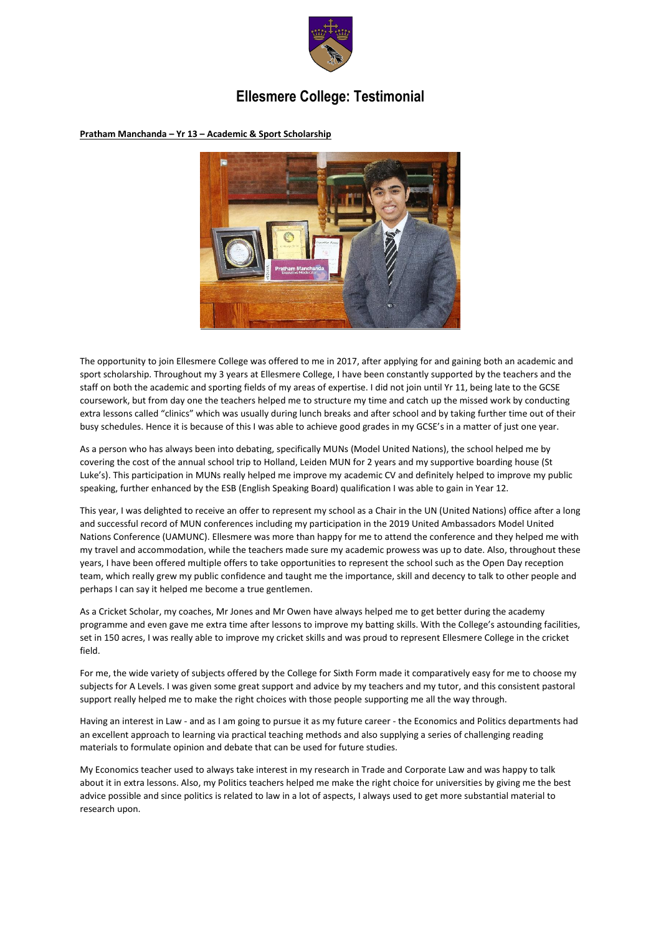

## **Ellesmere College: Testimonial**

**Pratham Manchanda – Yr 13 – Academic & Sport Scholarship**



The opportunity to join Ellesmere College was offered to me in 2017, after applying for and gaining both an academic and sport scholarship. Throughout my 3 years at Ellesmere College, I have been constantly supported by the teachers and the staff on both the academic and sporting fields of my areas of expertise. I did not join until Yr 11, being late to the GCSE coursework, but from day one the teachers helped me to structure my time and catch up the missed work by conducting extra lessons called "clinics" which was usually during lunch breaks and after school and by taking further time out of their busy schedules. Hence it is because of this I was able to achieve good grades in my GCSE's in a matter of just one year.

As a person who has always been into debating, specifically MUNs (Model United Nations), the school helped me by covering the cost of the annual school trip to Holland, Leiden MUN for 2 years and my supportive boarding house (St Luke's). This participation in MUNs really helped me improve my academic CV and definitely helped to improve my public speaking, further enhanced by the ESB (English Speaking Board) qualification I was able to gain in Year 12.

This year, I was delighted to receive an offer to represent my school as a Chair in the UN (United Nations) office after a long and successful record of MUN conferences including my participation in the 2019 United Ambassadors Model United Nations Conference (UAMUNC). Ellesmere was more than happy for me to attend the conference and they helped me with my travel and accommodation, while the teachers made sure my academic prowess was up to date. Also, throughout these years, I have been offered multiple offers to take opportunities to represent the school such as the Open Day reception team, which really grew my public confidence and taught me the importance, skill and decency to talk to other people and perhaps I can say it helped me become a true gentlemen.

As a Cricket Scholar, my coaches, Mr Jones and Mr Owen have always helped me to get better during the academy programme and even gave me extra time after lessons to improve my batting skills. With the College's astounding facilities, set in 150 acres, I was really able to improve my cricket skills and was proud to represent Ellesmere College in the cricket field.

For me, the wide variety of subjects offered by the College for Sixth Form made it comparatively easy for me to choose my subjects for A Levels. I was given some great support and advice by my teachers and my tutor, and this consistent pastoral support really helped me to make the right choices with those people supporting me all the way through.

Having an interest in Law - and as I am going to pursue it as my future career - the Economics and Politics departments had an excellent approach to learning via practical teaching methods and also supplying a series of challenging reading materials to formulate opinion and debate that can be used for future studies.

My Economics teacher used to always take interest in my research in Trade and Corporate Law and was happy to talk about it in extra lessons. Also, my Politics teachers helped me make the right choice for universities by giving me the best advice possible and since politics is related to law in a lot of aspects, I always used to get more substantial material to research upon.